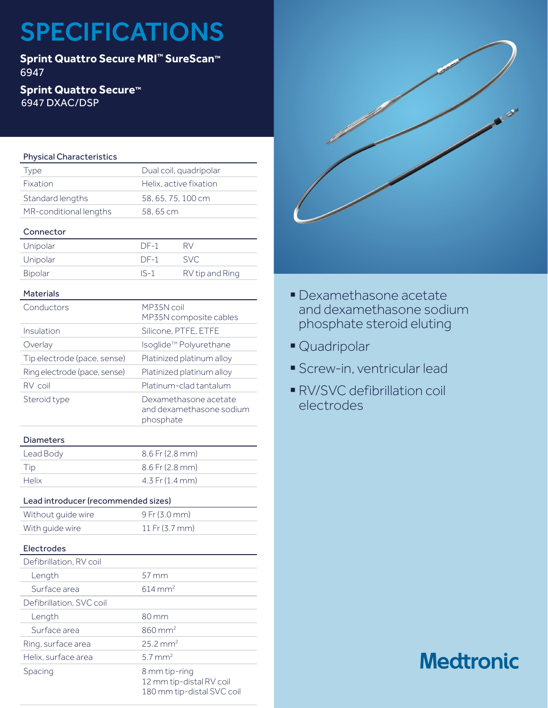# SPECIFICATIONS

**Sprint Quattro Secure MRI™ SureScan™** 6947

# **Sprint Quattro Secure™** 6947 DXAC/DSP

# Physical Characteristics

| Type                   | Dual coil, quadripolar |
|------------------------|------------------------|
| Fixation               | Helix, active fixation |
| Standard lengths       | 58, 65, 75, 100 cm     |
| MR-conditional lengths | 58,65 cm               |
|                        |                        |

# Connector

| Unipolar | $DF-1$ | RV              |
|----------|--------|-----------------|
| Unipolar | $DF-1$ | -SVC            |
| Bipolar  | $IS-1$ | RV tip and Ring |

### Materials

| Conductors                   | MP35N coil<br>MP35N composite cables                           |
|------------------------------|----------------------------------------------------------------|
| Insulation                   | Silicone, PTFE, ETFE                                           |
| Overlay                      | Isoglide™ Polyurethane                                         |
| Tip electrode (pace, sense)  | Platinized platinum alloy                                      |
| Ring electrode (pace, sense) | Platinized platinum alloy                                      |
| RV coil                      | Platinum-clad tantalum                                         |
| Steroid type                 | Dexamethasone acetate<br>and dexamethasone sodium<br>phosphate |
| Diameters                    |                                                                |

# Diameters

| Lead Body    | $8.6$ Fr (2.8 mm)   |
|--------------|---------------------|
| Tip          | $8.6$ Fr (2.8 mm)   |
| <b>Helix</b> | $4.3$ Fr $(1.4$ mm) |

# Lead introducer (recommended sizes)

| Without quide wire | $9$ Fr (3.0 mm)            |
|--------------------|----------------------------|
| With quide wire    | 11 Fr $(3.7 \, \text{mm})$ |

### Electrodes

| Defibrillation, RV coil  |                                                                         |
|--------------------------|-------------------------------------------------------------------------|
| Length                   | $57 \,\mathrm{mm}$                                                      |
| Surface area             | $614 \text{ mm}^2$                                                      |
| Defibrillation, SVC coil |                                                                         |
| Length                   | 80 mm                                                                   |
| Surface area             | $860 \text{ mm}^2$                                                      |
| Ring, surface area       | $25.2 \text{ mm}^2$                                                     |
| Helix, surface area      | $5.7$ mm <sup>2</sup>                                                   |
| Spacing                  | 8 mm tip-ring<br>12 mm tip-distal RV coil<br>180 mm tip-distal SVC coil |



- § Dexamethasone acetate and dexamethasone sodium phosphate steroid eluting
- § Quadripolar
- § Screw-in, ventricular lead
- § RV/SVC defibrillation coil electrodes

# **Medtronic**